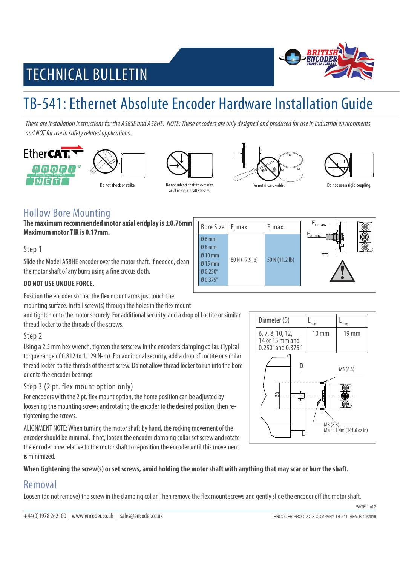# **BRITH**

## TECHNICAL BULLETIN

## TB-541: Ethernet Absolute Encoder Hardware Installation Guide

These are installation instructions for the A58SE and A58HE. NOTE: These encoders are only designed and produced for use in industrial environments and NOT for use in safety related applications.







Do not shock or strike. Do not subject shaft to excessive axial or radial shaft stresses.





#### Hollow Bore Mounting

**The maximum recommended motor axial endplay is ±0.76mm Maximum motor TIR is 0.17mm.** 

Step 1

Slide the Model A58HE encoder over the motor shaft. If needed, clean the motor shaft of any burrs using a fine crocus cloth.

#### **Bore Size** F max. F max. Ø 6 mm Ø 8 mm Ø 10 mm Ø 15 mm Ø 0.250" Ø 0.375" 80 N (17.9 lb) 50 N (11.2 lb)

#### **DO NOT USE UNDUE FORCE.**

Position the encoder so that the flex mount arms just touch the

mounting surface. Install screw(s) through the holes in the flex mount

and tighten onto the motor securely. For additional security, add a drop of Loctite or similar thread locker to the threads of the screws.

#### Step 2

Using a 2.5 mm hex wrench, tighten the setscrew in the encoder's clamping collar. (Typical torque range of 0.812 to 1.129 N-m). For additional security, add a drop of Loctite or similar thread locker to the threads of the set screw. Do not allow thread locker to run into the bore or onto the encoder bearings.

#### Step 3 (2 pt. flex mount option only)

For encoders with the 2 pt. flex mount option, the home position can be adjusted by loosening the mounting screws and rotating the encoder to the desired position, then retightening the screws.

ALIGNMENT NOTE: When turning the motor shaft by hand, the rocking movement of the encoder should be minimal. If not, loosen the encoder clamping collar set screw and rotate the encoder bore relative to the motor shaft to reposition the encoder until this movement is minimized.

#### **When tightening the screw(s) or set screws, avoid holding the motor shaft with anything that may scar or burr the shaft.**

#### Removal

Loosen (do not remove) the screw in the clamping collar. Then remove the flex mount screws and gently slide the encoder off the motor shaft.

PAGE 1 of 2